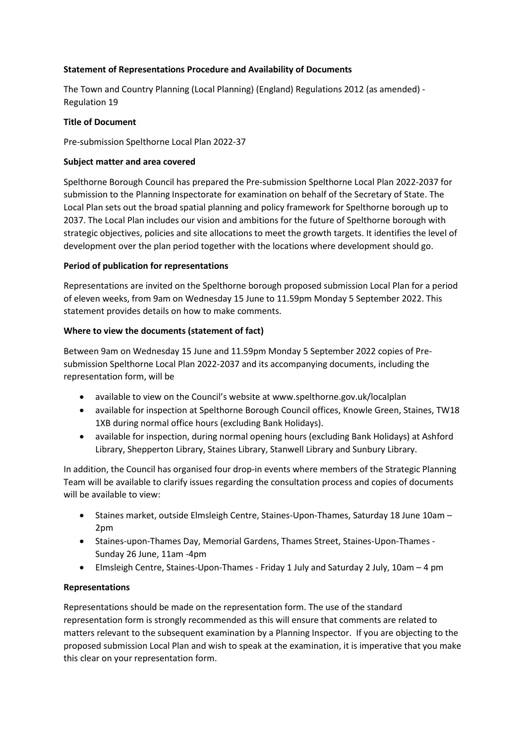## **Statement of Representations Procedure and Availability of Documents**

The Town and Country Planning (Local Planning) (England) Regulations 2012 (as amended) - Regulation 19

#### **Title of Document**

Pre-submission Spelthorne Local Plan 2022-37

### **Subject matter and area covered**

Spelthorne Borough Council has prepared the Pre-submission Spelthorne Local Plan 2022-2037 for submission to the Planning Inspectorate for examination on behalf of the Secretary of State. The Local Plan sets out the broad spatial planning and policy framework for Spelthorne borough up to 2037. The Local Plan includes our vision and ambitions for the future of Spelthorne borough with strategic objectives, policies and site allocations to meet the growth targets. It identifies the level of development over the plan period together with the locations where development should go.

### **Period of publication for representations**

Representations are invited on the Spelthorne borough proposed submission Local Plan for a period of eleven weeks, from 9am on Wednesday 15 June to 11.59pm Monday 5 September 2022. This statement provides details on how to make comments.

### **Where to view the documents (statement of fact)**

Between 9am on Wednesday 15 June and 11.59pm Monday 5 September 2022 copies of Presubmission Spelthorne Local Plan 2022-2037 and its accompanying documents, including the representation form, will be

- available to view on the Council's website at www.spelthorne.gov.uk/localplan
- available for inspection at Spelthorne Borough Council offices, Knowle Green, Staines, TW18 1XB during normal office hours (excluding Bank Holidays).
- available for inspection, during normal opening hours (excluding Bank Holidays) at Ashford Library, Shepperton Library, Staines Library, Stanwell Library and Sunbury Library.

In addition, the Council has organised four drop-in events where members of the Strategic Planning Team will be available to clarify issues regarding the consultation process and copies of documents will be available to view:

- Staines market, outside Elmsleigh Centre, Staines-Upon-Thames, Saturday 18 June 10am 2pm
- Staines-upon-Thames Day, Memorial Gardens, Thames Street, Staines-Upon-Thames Sunday 26 June, 11am -4pm
- Elmsleigh Centre, Staines-Upon-Thames Friday 1 July and Saturday 2 July, 10am 4 pm

## **Representations**

Representations should be made on the representation form. The use of the standard representation form is strongly recommended as this will ensure that comments are related to matters relevant to the subsequent examination by a Planning Inspector. If you are objecting to the proposed submission Local Plan and wish to speak at the examination, it is imperative that you make this clear on your representation form.